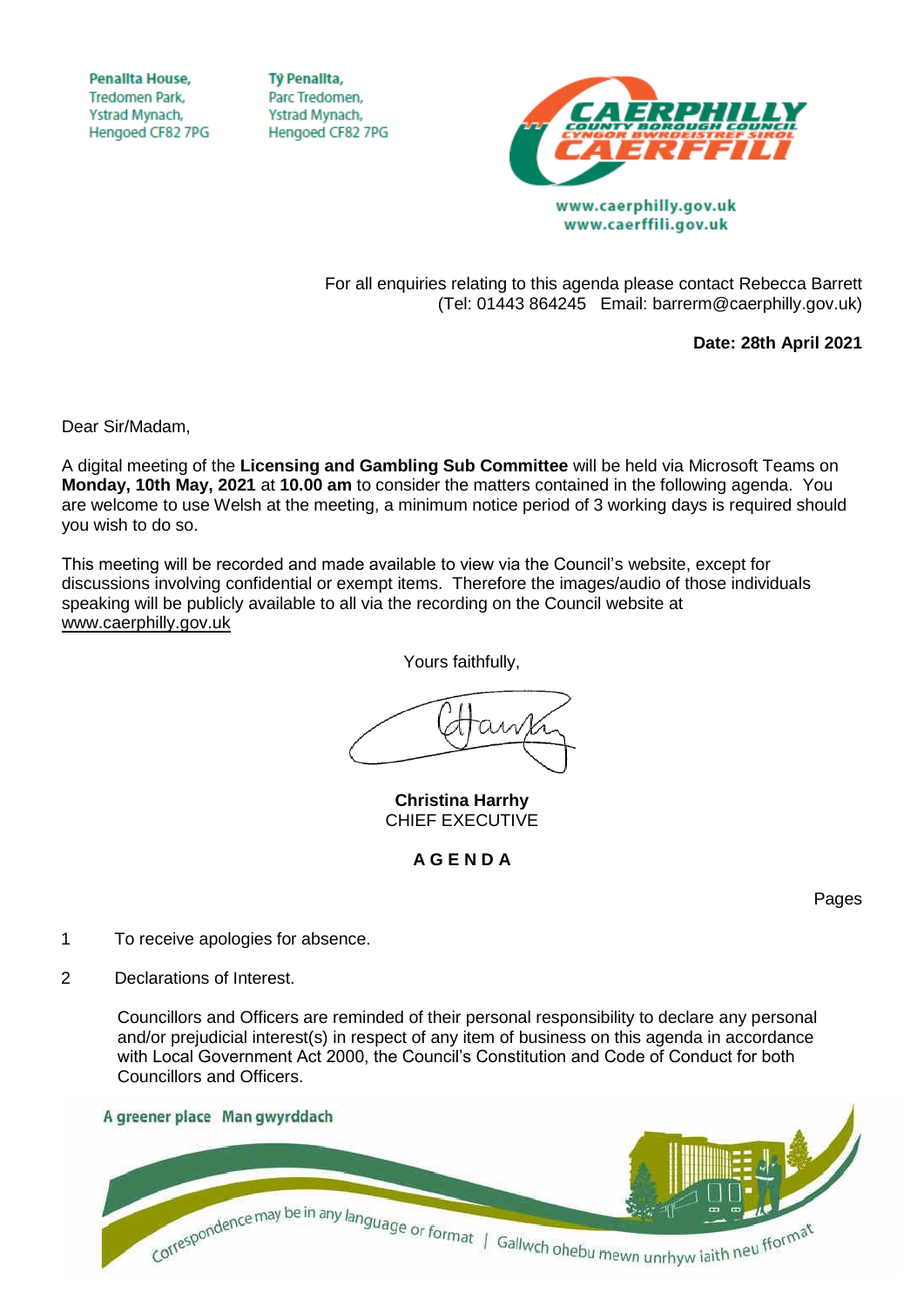**Penallta House, Tredomen Park.** Ystrad Mynach, Hengoed CF82 7PG

**TV Penallta,** Parc Tredomen. Ystrad Mynach, Hengoed CF82 7PG



www.caerphilly.gov.uk www.caerffili.gov.uk

For all enquiries relating to this agenda please contact Rebecca Barrett (Tel: 01443 864245 Email: barrerm@caerphilly.gov.uk)

**Date: 28th April 2021**

Dear Sir/Madam,

A digital meeting of the **Licensing and Gambling Sub Committee** will be held via Microsoft Teams on **Monday, 10th May, 2021** at **10.00 am** to consider the matters contained in the following agenda. You are welcome to use Welsh at the meeting, a minimum notice period of 3 working days is required should you wish to do so.

This meeting will be recorded and made available to view via the Council's website, except for discussions involving confidential or exempt items. Therefore the images/audio of those individuals speaking will be publicly available to all via the recording on the Council website at [www.caerphilly.gov.uk](http://www.caerphilly.gov.uk/)

Yours faithfully,

**Christina Harrhy** CHIEF EXECUTIVE

**A G E N D A**

Pages

- 1 To receive apologies for absence.
- 2 Declarations of Interest.

Councillors and Officers are reminded of their personal responsibility to declare any personal and/or prejudicial interest(s) in respect of any item of business on this agenda in accordance with Local Government Act 2000, the Council's Constitution and Code of Conduct for both Councillors and Officers.